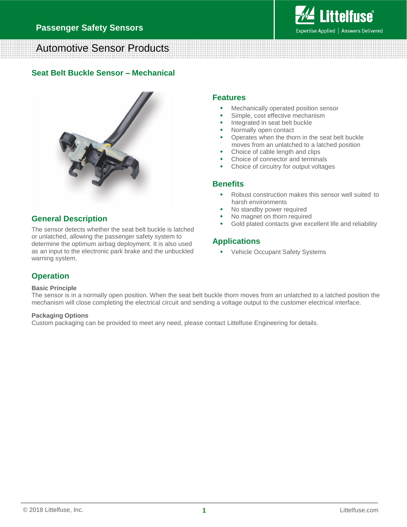

# Automotive Sensor Products

#### **Seat Belt Buckle Sensor – Mechanical**



### **General Description**

The sensor detects whether the seat belt buckle is latched or unlatched, allowing the passenger safety system to determine the optimum airbag deployment. It is also used as an input to the electronic park brake and the unbuckled warning system.

#### **Features**

- Mechanically operated position sensor
- Simple, cost effective mechanism
- Integrated in seat belt buckle
- Normally open contact
- Operates when the thorn in the seat belt buckle moves from an unlatched to a latched position
- Choice of cable length and clips
- Choice of connector and terminals
- Choice of circuitry for output voltages

#### **Benefits**

- Robust construction makes this sensor well suited to harsh environments
- No standby power required
- No magnet on thorn required
- Gold plated contacts give excellent life and reliability

### **Applications**

Vehicle Occupant Safety Systems

## **Operation**

#### **Basic Principle**

The sensor is in a normally open position. When the seat belt buckle thorn moves from an unlatched to a latched position the mechanism will close completing the electrical circuit and sending a voltage output to the customer electrical interface.

#### **Packaging Options**

Custom packaging can be provided to meet any need, please contact Littelfuse Engineering for details.